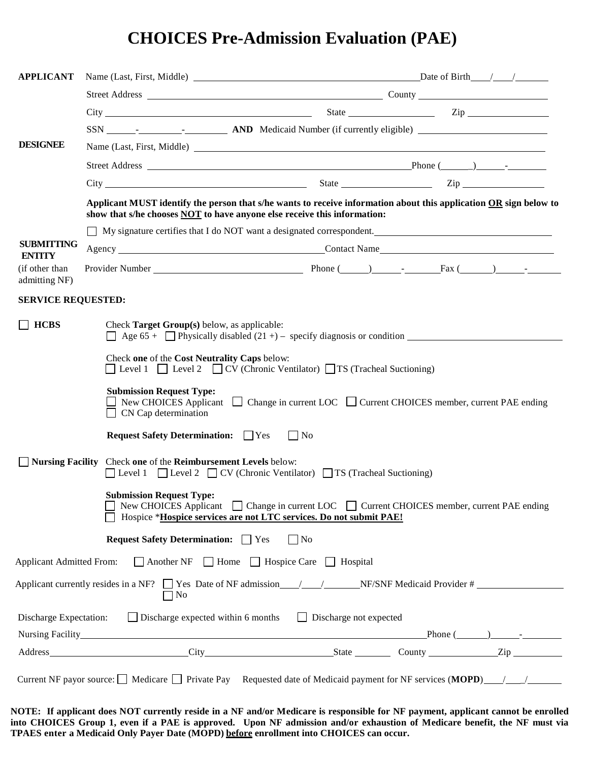# **CHOICES Pre-Admission Evaluation (PAE)**

| <b>APPLICANT</b>                                                                                                                                              |                                                                                                                                                                                               |                                                                                                                                                                  |  |  |  |
|---------------------------------------------------------------------------------------------------------------------------------------------------------------|-----------------------------------------------------------------------------------------------------------------------------------------------------------------------------------------------|------------------------------------------------------------------------------------------------------------------------------------------------------------------|--|--|--|
|                                                                                                                                                               |                                                                                                                                                                                               |                                                                                                                                                                  |  |  |  |
|                                                                                                                                                               |                                                                                                                                                                                               |                                                                                                                                                                  |  |  |  |
|                                                                                                                                                               |                                                                                                                                                                                               |                                                                                                                                                                  |  |  |  |
| <b>DESIGNEE</b>                                                                                                                                               |                                                                                                                                                                                               |                                                                                                                                                                  |  |  |  |
|                                                                                                                                                               |                                                                                                                                                                                               |                                                                                                                                                                  |  |  |  |
|                                                                                                                                                               |                                                                                                                                                                                               |                                                                                                                                                                  |  |  |  |
|                                                                                                                                                               | Applicant MUST identify the person that s/he wants to receive information about this application OR sign below to<br>show that s/he chooses NOT to have anyone else receive this information: |                                                                                                                                                                  |  |  |  |
|                                                                                                                                                               | □ My signature certifies that I do NOT want a designated correspondent.                                                                                                                       |                                                                                                                                                                  |  |  |  |
| <b>SUBMITTING</b><br><b>ENTITY</b>                                                                                                                            |                                                                                                                                                                                               |                                                                                                                                                                  |  |  |  |
| (if other than<br>admitting NF)                                                                                                                               |                                                                                                                                                                                               |                                                                                                                                                                  |  |  |  |
| <b>SERVICE REQUESTED:</b>                                                                                                                                     |                                                                                                                                                                                               |                                                                                                                                                                  |  |  |  |
| <b>HCBS</b>                                                                                                                                                   | Check Target Group(s) below, as applicable:<br>$\Box$ Age 65 + $\Box$ Physically disabled (21+) – specify diagnosis or condition                                                              |                                                                                                                                                                  |  |  |  |
| Check one of the Cost Neutrality Caps below:<br>$\Box$ Level 1 $\Box$ Level 2 $\Box$ CV (Chronic Ventilator) $\Box$ TS (Tracheal Suctioning)                  |                                                                                                                                                                                               |                                                                                                                                                                  |  |  |  |
|                                                                                                                                                               | <b>Submission Request Type:</b><br>$\Box$ CN Cap determination                                                                                                                                | New CHOICES Applicant $\Box$ Change in current LOC $\Box$ Current CHOICES member, current PAE ending                                                             |  |  |  |
|                                                                                                                                                               | <b>Request Safety Determination:</b> PYes                                                                                                                                                     | $\vert$   No                                                                                                                                                     |  |  |  |
| Nursing Facility Check one of the Reimbursement Levels below:<br>$\Box$ Level 1 $\Box$ Level 2 $\Box$ CV (Chronic Ventilator) $\Box$ TS (Tracheal Suctioning) |                                                                                                                                                                                               |                                                                                                                                                                  |  |  |  |
|                                                                                                                                                               | <b>Submission Request Type:</b>                                                                                                                                                               | New CHOICES Applicant □ Change in current LOC □ Current CHOICES member, current PAE ending<br>Hospice *Hospice services are not LTC services. Do not submit PAE! |  |  |  |
|                                                                                                                                                               | <b>Request Safety Determination:</b> □ Yes                                                                                                                                                    | $\Box$ No                                                                                                                                                        |  |  |  |
| <b>Applicant Admitted From:</b>                                                                                                                               |                                                                                                                                                                                               | Another NF Home B Hospice Care B Hospital                                                                                                                        |  |  |  |
|                                                                                                                                                               | $\Box$ No                                                                                                                                                                                     | Applicant currently resides in a NF? $\Box$ Yes Date of NF admission $\Box$ NF/SNF Medical Provider #                                                            |  |  |  |
| <b>Discharge Expectation:</b>                                                                                                                                 | $\Box$ Discharge expected within 6 months                                                                                                                                                     | $\Box$ Discharge not expected                                                                                                                                    |  |  |  |
|                                                                                                                                                               |                                                                                                                                                                                               |                                                                                                                                                                  |  |  |  |
|                                                                                                                                                               |                                                                                                                                                                                               |                                                                                                                                                                  |  |  |  |
|                                                                                                                                                               |                                                                                                                                                                                               | Current NF payor source: $\Box$ Medicare $\Box$ Private Pay Requested date of Medicaid payment for NF services (MOPD) $\Box$                                     |  |  |  |

**NOTE: If applicant does NOT currently reside in a NF and/or Medicare is responsible for NF payment, applicant cannot be enrolled into CHOICES Group 1, even if a PAE is approved. Upon NF admission and/or exhaustion of Medicare benefit, the NF must via TPAES enter a Medicaid Only Payer Date (MOPD) before enrollment into CHOICES can occur.**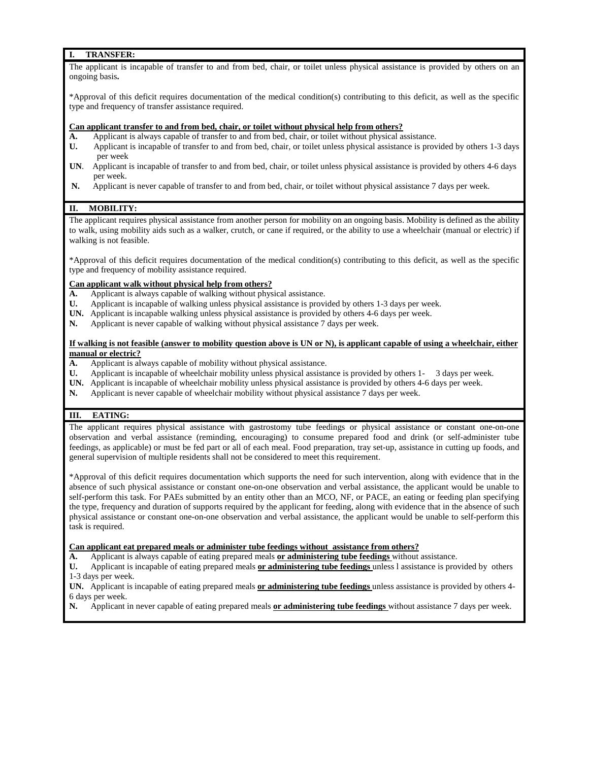#### **I. TRANSFER:**

The applicant is incapable of transfer to and from bed, chair, or toilet unless physical assistance is provided by others on an ongoing basis**.** 

\*Approval of this deficit requires documentation of the medical condition(s) contributing to this deficit, as well as the specific type and frequency of transfer assistance required.

#### **Can applicant transfer to and from bed, chair, or toilet without physical help from others?**

- **A.** Applicant is always capable of transfer to and from bed, chair, or toilet without physical assistance.
- **U.** Applicant is incapable of transfer to and from bed, chair, or toilet unless physical assistance is provided by others 1-3 days per week
- **UN**. Applicant is incapable of transfer to and from bed, chair, or toilet unless physical assistance is provided by others 4-6 days per week.
- **N.** Applicant is never capable of transfer to and from bed, chair, or toilet without physical assistance 7 days per week.

## **II. MOBILITY:**

The applicant requires physical assistance from another person for mobility on an ongoing basis. Mobility is defined as the ability to walk, using mobility aids such as a walker, crutch, or cane if required, or the ability to use a wheelchair (manual or electric) if walking is not feasible.

\*Approval of this deficit requires documentation of the medical condition(s) contributing to this deficit, as well as the specific type and frequency of mobility assistance required.

#### **Can applicant walk without physical help from others?**

- **A.** Applicant is always capable of walking without physical assistance.
- **U.** Applicant is incapable of walking unless physical assistance is provided by others 1-3 days per week.
- **UN.** Applicant is incapable walking unless physical assistance is provided by others 4-6 days per week.
- **N.** Applicant is never capable of walking without physical assistance 7 days per week.

#### **If walking is not feasible (answer to mobility question above is UN or N), is applicant capable of using a wheelchair, either manual or electric?**

- **A.** Applicant is always capable of mobility without physical assistance.
- **U.** Applicant is incapable of wheelchair mobility unless physical assistance is provided by others 1- 3 days per week.
- **UN.** Applicant is incapable of wheelchair mobility unless physical assistance is provided by others 4-6 days per week.
- **N.** Applicant is never capable of wheelchair mobility without physical assistance 7 days per week.

#### **III. EATING:**

The applicant requires physical assistance with gastrostomy tube feedings or physical assistance or constant one-on-one observation and verbal assistance (reminding, encouraging) to consume prepared food and drink (or self-administer tube feedings, as applicable) or must be fed part or all of each meal. Food preparation, tray set-up, assistance in cutting up foods, and general supervision of multiple residents shall not be considered to meet this requirement.

\*Approval of this deficit requires documentation which supports the need for such intervention, along with evidence that in the absence of such physical assistance or constant one-on-one observation and verbal assistance, the applicant would be unable to self-perform this task. For PAEs submitted by an entity other than an MCO, NF, or PACE, an eating or feeding plan specifying the type, frequency and duration of supports required by the applicant for feeding, along with evidence that in the absence of such physical assistance or constant one-on-one observation and verbal assistance, the applicant would be unable to self-perform this task is required.

**Can applicant eat prepared meals or administer tube feedings without assistance from others?**

**A.** Applicant is always capable of eating prepared meals **or administering tube feedings** without assistance.

**U.** Applicant is incapable of eating prepared meals **or administering tube feedings** unless l assistance is provided by others 1-3 days per week.

**UN.** Applicant is incapable of eating prepared meals **or administering tube feedings** unless assistance is provided by others 4- 6 days per week.

**N.** Applicant in never capable of eating prepared meals **or administering tube feedings** without assistance 7 days per week.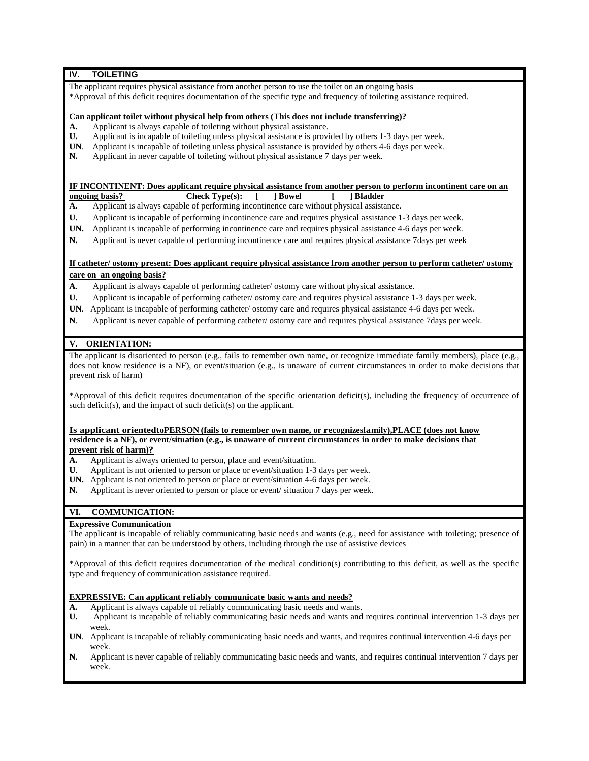## **IV. TOILETING**

The applicant requires physical assistance from another person to use the toilet on an ongoing basis \*Approval of this deficit requires documentation of the specific type and frequency of toileting assistance required.

#### **Can applicant toilet without physical help from others (This does not include transferring)?**

- **A.** Applicant is always capable of toileting without physical assistance.
- **U.** Applicant is incapable of toileting unless physical assistance is provided by others 1-3 days per week.
- **UN**. Applicant is incapable of toileting unless physical assistance is provided by others 4-6 days per week.
- **N.** Applicant in never capable of toileting without physical assistance 7 days per week.

# **IF INCONTINENT:** Does applicant require physical assistance from another person to perform incontinent care on an ongoing basis? Check Type(s): [ ] Bowel [ ] Bladder

- **Check Type(s):** [ ] **Bowel** [
- **A.** Applicant is always capable of performing incontinence care without physical assistance.
- **U.** Applicant is incapable of performing incontinence care and requires physical assistance 1-3 days per week.
- **UN.** Applicant is incapable of performing incontinence care and requires physical assistance 4-6 days per week.
- **N.** Applicant is never capable of performing incontinence care and requires physical assistance 7days per week

**If catheter/ ostomy present: Does applicant require physical assistance from another person to perform catheter/ ostomy care on an ongoing basis?**

- **A**. Applicant is always capable of performing catheter/ ostomy care without physical assistance.
- **U.** Applicant is incapable of performing catheter/ ostomy care and requires physical assistance 1-3 days per week.
- **UN**. Applicant is incapable of performing catheter/ ostomy care and requires physical assistance 4-6 days per week.
- **N**. Applicant is never capable of performing catheter/ ostomy care and requires physical assistance 7days per week.

# **V. ORIENTATION:**

The applicant is disoriented to person (e.g., fails to remember own name, or recognize immediate family members), place (e.g., does not know residence is a NF), or event/situation (e.g., is unaware of current circumstances in order to make decisions that prevent risk of harm)

\*Approval of this deficit requires documentation of the specific orientation deficit(s), including the frequency of occurrence of such deficit(s), and the impact of such deficit(s) on the applicant.

#### Is applicant orientedtoPERSON (fails to remember own name, or recognizes family), PLACE (does not know **residence is a NF), or event/situation (e.g., is unaware of current circumstances in order to make decisions that prevent risk of harm)?**

- **A.** Applicant is always oriented to person, place and event/situation.
- **U**. Applicant is not oriented to person or place or event/situation 1-3 days per week.
- **UN.** Applicant is not oriented to person or place or event/situation 4-6 days per week.
- **N.** Applicant is never oriented to person or place or event/ situation 7 days per week.

## **VI. COMMUNICATION:**

#### **Expressive Communication**

The applicant is incapable of reliably communicating basic needs and wants (e.g., need for assistance with toileting; presence of pain) in a manner that can be understood by others, including through the use of assistive devices

\*Approval of this deficit requires documentation of the medical condition(s) contributing to this deficit, as well as the specific type and frequency of communication assistance required.

#### **EXPRESSIVE: Can applicant reliably communicate basic wants and needs?**

- **A.** Applicant is always capable of reliably communicating basic needs and wants.
- **U.** Applicant is incapable of reliably communicating basic needs and wants and requires continual intervention 1-3 days per week.
- **UN**. Applicant is incapable of reliably communicating basic needs and wants, and requires continual intervention 4-6 days per week.
- **N.** Applicant is never capable of reliably communicating basic needs and wants, and requires continual intervention 7 days per week.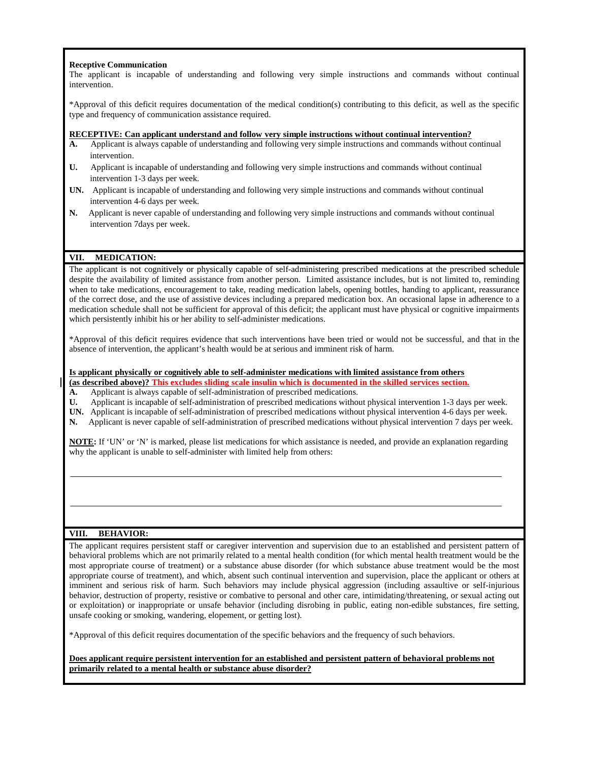#### **Receptive Communication**

The applicant is incapable of understanding and following very simple instructions and commands without continual intervention.

\*Approval of this deficit requires documentation of the medical condition(s) contributing to this deficit, as well as the specific type and frequency of communication assistance required.

#### **RECEPTIVE: Can applicant understand and follow very simple instructions without continual intervention?**

- **A.** Applicant is always capable of understanding and following very simple instructions and commands without continual intervention.
- **U.** Applicant is incapable of understanding and following very simple instructions and commands without continual intervention 1-3 days per week.
- **UN.** Applicant is incapable of understanding and following very simple instructions and commands without continual intervention 4-6 days per week.
- **N.** Applicant is never capable of understanding and following very simple instructions and commands without continual intervention 7days per week.

#### **VII. MEDICATION:**

The applicant is not cognitively or physically capable of self-administering prescribed medications at the prescribed schedule despite the availability of limited assistance from another person. Limited assistance includes, but is not limited to, reminding when to take medications, encouragement to take, reading medication labels, opening bottles, handing to applicant, reassurance of the correct dose, and the use of assistive devices including a prepared medication box. An occasional lapse in adherence to a medication schedule shall not be sufficient for approval of this deficit; the applicant must have physical or cognitive impairments which persistently inhibit his or her ability to self-administer medications.

\*Approval of this deficit requires evidence that such interventions have been tried or would not be successful, and that in the absence of intervention, the applicant's health would be at serious and imminent risk of harm.

#### **Is applicant physically or cognitively able to self-administer medications with limited assistance from others**

**(as described above)? This excludes sliding scale insulin which is documented in the skilled services section.**

- **A.** Applicant is always capable of self-administration of prescribed medications.
- **U.** Applicant is incapable of self-administration of prescribed medications without physical intervention 1-3 days per week.
- **UN.** Applicant is incapable of self-administration of prescribed medications without physical intervention 4-6 days per week.
- **N.** Applicant is never capable of self-administration of prescribed medications without physical intervention 7 days per week.

**NOTE:** If 'UN' or 'N' is marked, please list medications for which assistance is needed, and provide an explanation regarding why the applicant is unable to self-administer with limited help from others:

#### **VIII. BEHAVIOR:**

The applicant requires persistent staff or caregiver intervention and supervision due to an established and persistent pattern of behavioral problems which are not primarily related to a mental health condition (for which mental health treatment would be the most appropriate course of treatment) or a substance abuse disorder (for which substance abuse treatment would be the most appropriate course of treatment), and which, absent such continual intervention and supervision, place the applicant or others at imminent and serious risk of harm. Such behaviors may include physical aggression (including assaultive or self-injurious behavior, destruction of property, resistive or combative to personal and other care, intimidating/threatening, or sexual acting out or exploitation) or inappropriate or unsafe behavior (including disrobing in public, eating non-edible substances, fire setting, unsafe cooking or smoking, wandering, elopement, or getting lost).

\*Approval of this deficit requires documentation of the specific behaviors and the frequency of such behaviors.

#### **Does applicant require persistent intervention for an established and persistent pattern of behavioral problems not primarily related to a mental health or substance abuse disorder?**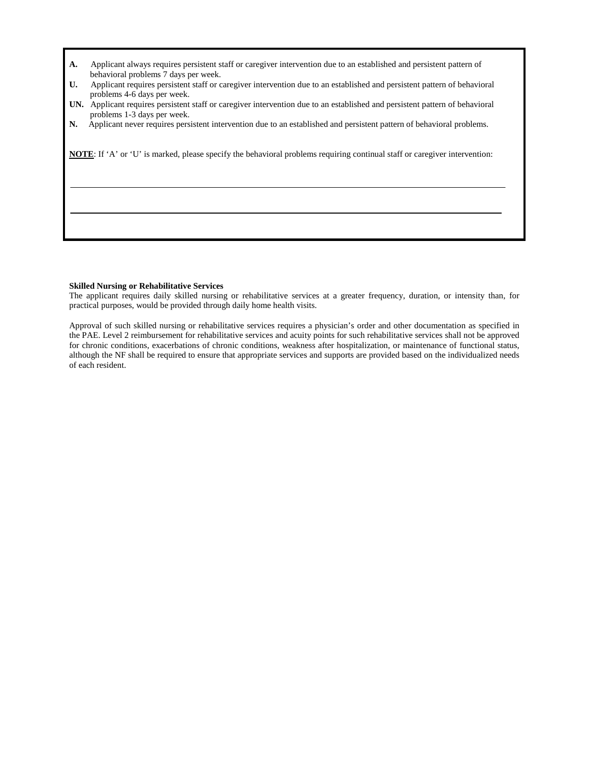- **A.** Applicant always requires persistent staff or caregiver intervention due to an established and persistent pattern of behavioral problems 7 days per week.
- **U.** Applicant requires persistent staff or caregiver intervention due to an established and persistent pattern of behavioral problems 4-6 days per week.
- **UN.** Applicant requires persistent staff or caregiver intervention due to an established and persistent pattern of behavioral problems 1-3 days per week.
- **N.** Applicant never requires persistent intervention due to an established and persistent pattern of behavioral problems.

**NOTE**: If 'A' or 'U' is marked, please specify the behavioral problems requiring continual staff or caregiver intervention:

#### **Skilled Nursing or Rehabilitative Services**

The applicant requires daily skilled nursing or rehabilitative services at a greater frequency, duration, or intensity than, for practical purposes, would be provided through daily home health visits.

Approval of such skilled nursing or rehabilitative services requires a physician's order and other documentation as specified in the PAE. Level 2 reimbursement for rehabilitative services and acuity points for such rehabilitative services shall not be approved for chronic conditions, exacerbations of chronic conditions, weakness after hospitalization, or maintenance of functional status, although the NF shall be required to ensure that appropriate services and supports are provided based on the individualized needs of each resident.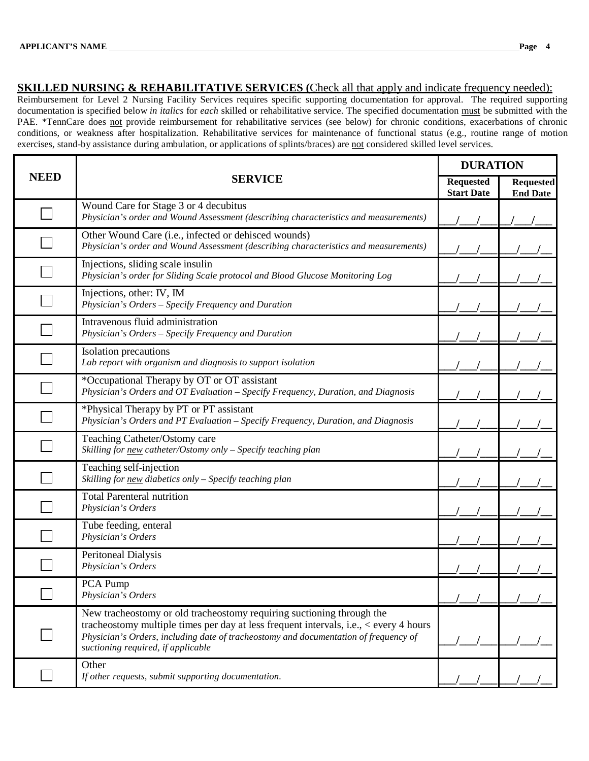# **SKILLED NURSING & REHABILITATIVE SERVICES** (Check all that apply and indicate frequency needed):

Reimbursement for Level 2 Nursing Facility Services requires specific supporting documentation for approval. The required supporting documentation is specified below *in italics* for *each* skilled or rehabilitative service. The specified documentation must be submitted with the PAE. \*TennCare does not provide reimbursement for rehabilitative services (see below) for chronic conditions, exacerbations of chronic conditions, or weakness after hospitalization. Rehabilitative services for maintenance of functional status (e.g., routine range of motion exercises, stand-by assistance during ambulation, or applications of splints/braces) are not considered skilled level services.

|             |                                                                                                                                                                                                                                                                                              | <b>DURATION</b>                       |                                     |
|-------------|----------------------------------------------------------------------------------------------------------------------------------------------------------------------------------------------------------------------------------------------------------------------------------------------|---------------------------------------|-------------------------------------|
| <b>NEED</b> | <b>SERVICE</b>                                                                                                                                                                                                                                                                               | <b>Requested</b><br><b>Start Date</b> | <b>Requested</b><br><b>End Date</b> |
|             | Wound Care for Stage 3 or 4 decubitus<br>Physician's order and Wound Assessment (describing characteristics and measurements)                                                                                                                                                                |                                       |                                     |
|             | Other Wound Care (i.e., infected or dehisced wounds)<br>Physician's order and Wound Assessment (describing characteristics and measurements)                                                                                                                                                 |                                       |                                     |
|             | Injections, sliding scale insulin<br>Physician's order for Sliding Scale protocol and Blood Glucose Monitoring Log                                                                                                                                                                           |                                       |                                     |
|             | Injections, other: IV, IM<br>Physician's Orders - Specify Frequency and Duration                                                                                                                                                                                                             |                                       |                                     |
|             | Intravenous fluid administration<br>Physician's Orders - Specify Frequency and Duration                                                                                                                                                                                                      |                                       |                                     |
|             | Isolation precautions<br>Lab report with organism and diagnosis to support isolation                                                                                                                                                                                                         |                                       |                                     |
|             | *Occupational Therapy by OT or OT assistant<br>Physician's Orders and OT Evaluation - Specify Frequency, Duration, and Diagnosis                                                                                                                                                             |                                       |                                     |
|             | *Physical Therapy by PT or PT assistant<br>Physician's Orders and PT Evaluation - Specify Frequency, Duration, and Diagnosis                                                                                                                                                                 |                                       |                                     |
|             | Teaching Catheter/Ostomy care<br>Skilling for new catheter/Ostomy only - Specify teaching plan                                                                                                                                                                                               |                                       |                                     |
|             | Teaching self-injection<br>Skilling for new diabetics only - Specify teaching plan                                                                                                                                                                                                           |                                       |                                     |
|             | <b>Total Parenteral nutrition</b><br>Physician's Orders                                                                                                                                                                                                                                      |                                       |                                     |
|             | Tube feeding, enteral<br>Physician's Orders                                                                                                                                                                                                                                                  |                                       |                                     |
|             | Peritoneal Dialysis<br>Physician's Orders                                                                                                                                                                                                                                                    |                                       |                                     |
|             | PCA Pump<br>Physician's Orders                                                                                                                                                                                                                                                               |                                       |                                     |
|             | New tracheostomy or old tracheostomy requiring suctioning through the<br>tracheostomy multiple times per day at less frequent intervals, i.e., < every 4 hours<br>Physician's Orders, including date of tracheostomy and documentation of frequency of<br>suctioning required, if applicable |                                       |                                     |
|             | Other<br>If other requests, submit supporting documentation.                                                                                                                                                                                                                                 |                                       |                                     |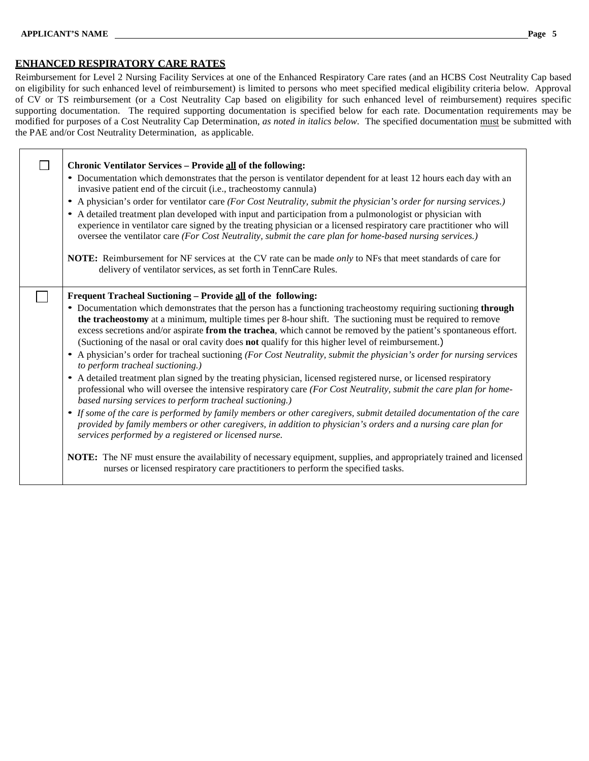# **ENHANCED RESPIRATORY CARE RATES**

Reimbursement for Level 2 Nursing Facility Services at one of the Enhanced Respiratory Care rates (and an HCBS Cost Neutrality Cap based on eligibility for such enhanced level of reimbursement) is limited to persons who meet specified medical eligibility criteria below. Approval of CV or TS reimbursement (or a Cost Neutrality Cap based on eligibility for such enhanced level of reimbursement) requires specific supporting documentation. The required supporting documentation is specified below for each rate. Documentation requirements may be modified for purposes of a Cost Neutrality Cap Determination, *as noted in italics below*. The specified documentation must be submitted with the PAE and/or Cost Neutrality Determination, as applicable.

| <b>Chronic Ventilator Services - Provide all of the following:</b><br>• Documentation which demonstrates that the person is ventilator dependent for at least 12 hours each day with an<br>invasive patient end of the circuit (i.e., tracheostomy cannula)<br>• A physician's order for ventilator care (For Cost Neutrality, submit the physician's order for nursing services.)<br>• A detailed treatment plan developed with input and participation from a pulmonologist or physician with<br>experience in ventilator care signed by the treating physician or a licensed respiratory care practitioner who will<br>oversee the ventilator care (For Cost Neutrality, submit the care plan for home-based nursing services.)<br>NOTE: Reimbursement for NF services at the CV rate can be made only to NFs that meet standards of care for<br>delivery of ventilator services, as set forth in TennCare Rules.                                                                                                                                                                                                                                                                                                                                                                              |
|---------------------------------------------------------------------------------------------------------------------------------------------------------------------------------------------------------------------------------------------------------------------------------------------------------------------------------------------------------------------------------------------------------------------------------------------------------------------------------------------------------------------------------------------------------------------------------------------------------------------------------------------------------------------------------------------------------------------------------------------------------------------------------------------------------------------------------------------------------------------------------------------------------------------------------------------------------------------------------------------------------------------------------------------------------------------------------------------------------------------------------------------------------------------------------------------------------------------------------------------------------------------------------------------------|
| Frequent Tracheal Suctioning - Provide all of the following:<br>• Documentation which demonstrates that the person has a functioning tracheostomy requiring suctioning through<br>the tracheostomy at a minimum, multiple times per 8-hour shift. The suctioning must be required to remove<br>excess secretions and/or aspirate from the trachea, which cannot be removed by the patient's spontaneous effort.<br>(Suctioning of the nasal or oral cavity does not qualify for this higher level of reimbursement.)<br>A physician's order for tracheal suctioning (For Cost Neutrality, submit the physician's order for nursing services<br>$\bullet$<br>to perform tracheal suctioning.)<br>• A detailed treatment plan signed by the treating physician, licensed registered nurse, or licensed respiratory<br>professional who will oversee the intensive respiratory care (For Cost Neutrality, submit the care plan for home-<br>based nursing services to perform tracheal suctioning.)<br>• If some of the care is performed by family members or other caregivers, submit detailed documentation of the care<br>provided by family members or other caregivers, in addition to physician's orders and a nursing care plan for<br>services performed by a registered or licensed nurse. |
| NOTE: The NF must ensure the availability of necessary equipment, supplies, and appropriately trained and licensed<br>nurses or licensed respiratory care practitioners to perform the specified tasks.                                                                                                                                                                                                                                                                                                                                                                                                                                                                                                                                                                                                                                                                                                                                                                                                                                                                                                                                                                                                                                                                                           |